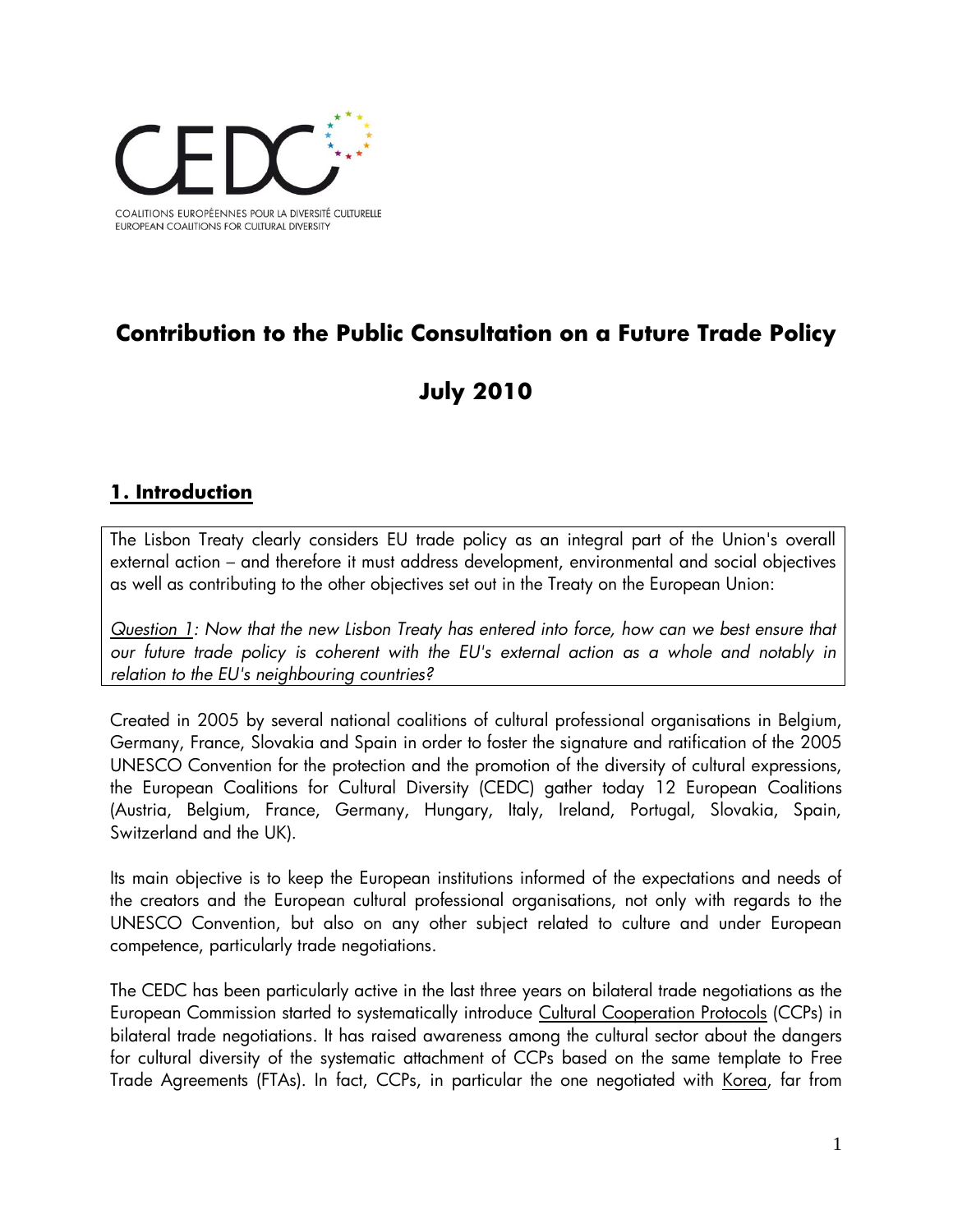

# **Contribution to the Public Consultation on a Future Trade Policy**

# **July 2010**

#### **1. Introduction**

The Lisbon Treaty clearly considers EU trade policy as an integral part of the Union's overall external action – and therefore it must address development, environmental and social objectives as well as contributing to the other objectives set out in the Treaty on the European Union:

*Question 1: Now that the new Lisbon Treaty has entered into force, how can we best ensure that our future trade policy is coherent with the EU's external action as a whole and notably in relation to the EU's neighbouring countries?*

Created in 2005 by several national coalitions of cultural professional organisations in Belgium, Germany, France, Slovakia and Spain in order to foster the signature and ratification of the 2005 UNESCO Convention for the protection and the promotion of the diversity of cultural expressions, the European Coalitions for Cultural Diversity (CEDC) gather today 12 European Coalitions (Austria, Belgium, France, Germany, Hungary, Italy, Ireland, Portugal, Slovakia, Spain, Switzerland and the UK).

Its main objective is to keep the European institutions informed of the expectations and needs of the creators and the European cultural professional organisations, not only with regards to the UNESCO Convention, but also on any other subject related to culture and under European competence, particularly trade negotiations.

The CEDC has been particularly active in the last three years on bilateral trade negotiations as the European Commission started to systematically introduce Cultural Cooperation Protocols (CCPs) in bilateral trade negotiations. It has raised awareness among the cultural sector about the dangers for cultural diversity of the systematic attachment of CCPs based on the same template to Free Trade Agreements (FTAs). In fact, CCPs, in particular the one negotiated with Korea, far from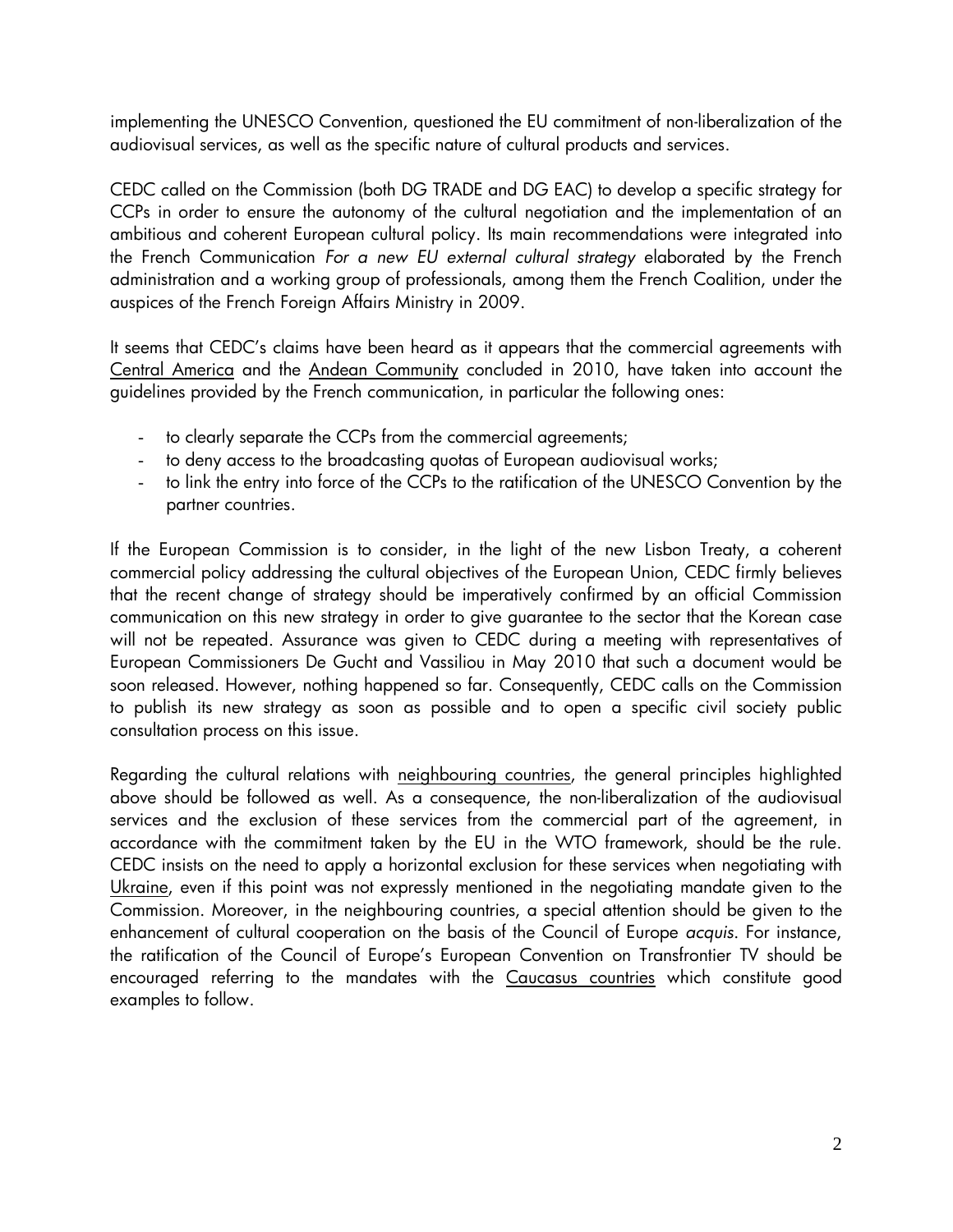implementing the UNESCO Convention, questioned the EU commitment of non-liberalization of the audiovisual services, as well as the specific nature of cultural products and services.

CEDC called on the Commission (both DG TRADE and DG EAC) to develop a specific strategy for CCPs in order to ensure the autonomy of the cultural negotiation and the implementation of an ambitious and coherent European cultural policy. Its main recommendations were integrated into the French Communication *For a new EU external cultural strategy* elaborated by the French administration and a working group of professionals, among them the French Coalition, under the auspices of the French Foreign Affairs Ministry in 2009.

It seems that CEDC's claims have been heard as it appears that the commercial agreements with Central America and the Andean Community concluded in 2010, have taken into account the guidelines provided by the French communication, in particular the following ones:

- to clearly separate the CCPs from the commercial agreements;
- to deny access to the broadcasting quotas of European audiovisual works;
- to link the entry into force of the CCPs to the ratification of the UNESCO Convention by the partner countries.

If the European Commission is to consider, in the light of the new Lisbon Treaty, a coherent commercial policy addressing the cultural objectives of the European Union, CEDC firmly believes that the recent change of strategy should be imperatively confirmed by an official Commission communication on this new strategy in order to give guarantee to the sector that the Korean case will not be repeated. Assurance was given to CEDC during a meeting with representatives of European Commissioners De Gucht and Vassiliou in May 2010 that such a document would be soon released. However, nothing happened so far. Consequently, CEDC calls on the Commission to publish its new strategy as soon as possible and to open a specific civil society public consultation process on this issue.

Regarding the cultural relations with neighbouring countries, the general principles highlighted above should be followed as well. As a consequence, the non-liberalization of the audiovisual services and the exclusion of these services from the commercial part of the agreement, in accordance with the commitment taken by the EU in the WTO framework, should be the rule. CEDC insists on the need to apply a horizontal exclusion for these services when negotiating with Ukraine, even if this point was not expressly mentioned in the negotiating mandate given to the Commission. Moreover, in the neighbouring countries, a special attention should be given to the enhancement of cultural cooperation on the basis of the Council of Europe *acquis*. For instance, the ratification of the Council of Europe's European Convention on Transfrontier TV should be encouraged referring to the mandates with the Caucasus countries which constitute good examples to follow.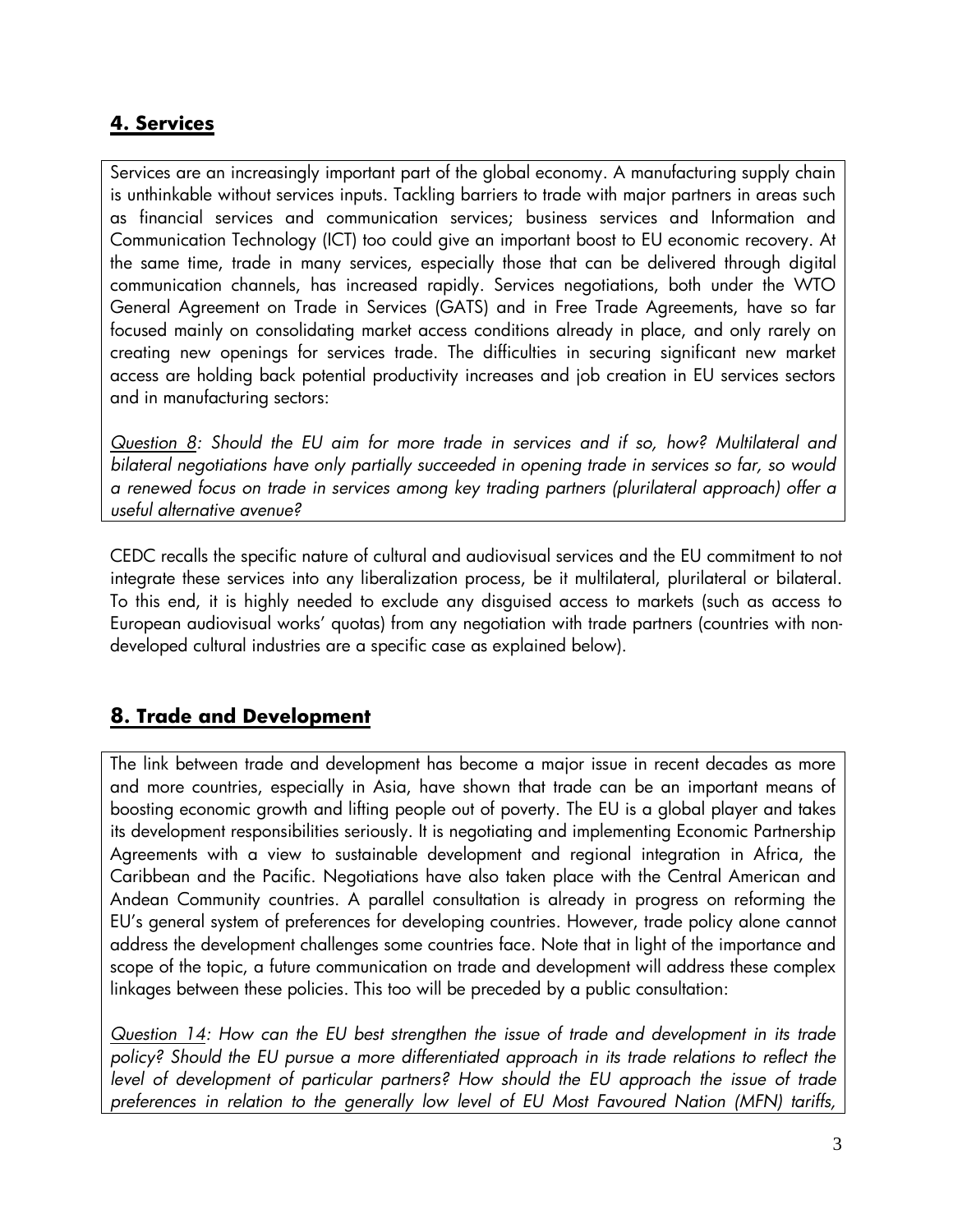## **4. Services**

Services are an increasingly important part of the global economy. A manufacturing supply chain is unthinkable without services inputs. Tackling barriers to trade with major partners in areas such as financial services and communication services; business services and Information and Communication Technology (ICT) too could give an important boost to EU economic recovery. At the same time, trade in many services, especially those that can be delivered through digital communication channels, has increased rapidly. Services negotiations, both under the WTO General Agreement on Trade in Services (GATS) and in Free Trade Agreements, have so far focused mainly on consolidating market access conditions already in place, and only rarely on creating new openings for services trade. The difficulties in securing significant new market access are holding back potential productivity increases and job creation in EU services sectors and in manufacturing sectors:

*Question 8: Should the EU aim for more trade in services and if so, how? Multilateral and bilateral negotiations have only partially succeeded in opening trade in services so far, so would a renewed focus on trade in services among key trading partners (plurilateral approach) offer a useful alternative avenue?*

CEDC recalls the specific nature of cultural and audiovisual services and the EU commitment to not integrate these services into any liberalization process, be it multilateral, plurilateral or bilateral. To this end, it is highly needed to exclude any disguised access to markets (such as access to European audiovisual works' quotas) from any negotiation with trade partners (countries with nondeveloped cultural industries are a specific case as explained below).

## **8. Trade and Development**

The link between trade and development has become a major issue in recent decades as more and more countries, especially in Asia, have shown that trade can be an important means of boosting economic growth and lifting people out of poverty. The EU is a global player and takes its development responsibilities seriously. It is negotiating and implementing Economic Partnership Agreements with a view to sustainable development and regional integration in Africa, the Caribbean and the Pacific. Negotiations have also taken place with the Central American and Andean Community countries. A parallel consultation is already in progress on reforming the EU's general system of preferences for developing countries. However, trade policy alone cannot address the development challenges some countries face. Note that in light of the importance and scope of the topic, a future communication on trade and development will address these complex linkages between these policies. This too will be preceded by a public consultation:

*Question 14: How can the EU best strengthen the issue of trade and development in its trade policy? Should the EU pursue a more differentiated approach in its trade relations to reflect the level of development of particular partners? How should the EU approach the issue of trade preferences in relation to the generally low level of EU Most Favoured Nation (MFN) tariffs,*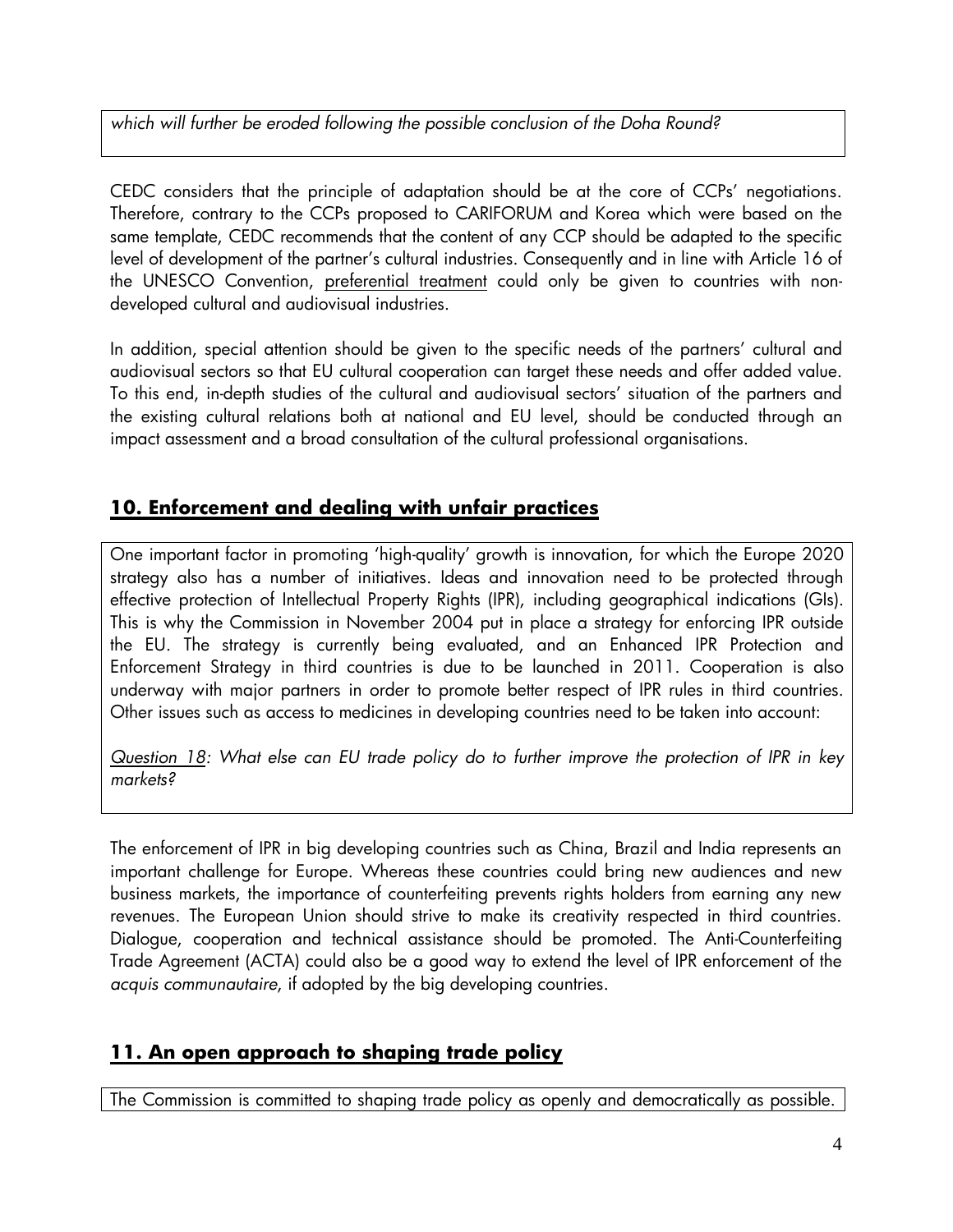*which will further be eroded following the possible conclusion of the Doha Round?*

CEDC considers that the principle of adaptation should be at the core of CCPs' negotiations. Therefore, contrary to the CCPs proposed to CARIFORUM and Korea which were based on the same template, CEDC recommends that the content of any CCP should be adapted to the specific level of development of the partner's cultural industries. Consequently and in line with Article 16 of the UNESCO Convention, preferential treatment could only be given to countries with nondeveloped cultural and audiovisual industries.

In addition, special attention should be given to the specific needs of the partners' cultural and audiovisual sectors so that EU cultural cooperation can target these needs and offer added value. To this end, in-depth studies of the cultural and audiovisual sectors' situation of the partners and the existing cultural relations both at national and EU level, should be conducted through an impact assessment and a broad consultation of the cultural professional organisations.

## **10. Enforcement and dealing with unfair practices**

One important factor in promoting 'high-quality' growth is innovation, for which the Europe 2020 strategy also has a number of initiatives. Ideas and innovation need to be protected through effective protection of Intellectual Property Rights (IPR), including geographical indications (GIs). This is why the Commission in November 2004 put in place a strategy for enforcing IPR outside the EU. The strategy is currently being evaluated, and an Enhanced IPR Protection and Enforcement Strategy in third countries is due to be launched in 2011. Cooperation is also underway with major partners in order to promote better respect of IPR rules in third countries. Other issues such as access to medicines in developing countries need to be taken into account:

*Question 18: What else can EU trade policy do to further improve the protection of IPR in key markets?*

The enforcement of IPR in big developing countries such as China, Brazil and India represents an important challenge for Europe. Whereas these countries could bring new audiences and new business markets, the importance of counterfeiting prevents rights holders from earning any new revenues. The European Union should strive to make its creativity respected in third countries. Dialogue, cooperation and technical assistance should be promoted. The Anti-Counterfeiting Trade Agreement (ACTA) could also be a good way to extend the level of IPR enforcement of the *acquis communautaire*, if adopted by the big developing countries.

#### **11. An open approach to shaping trade policy**

The Commission is committed to shaping trade policy as openly and democratically as possible.